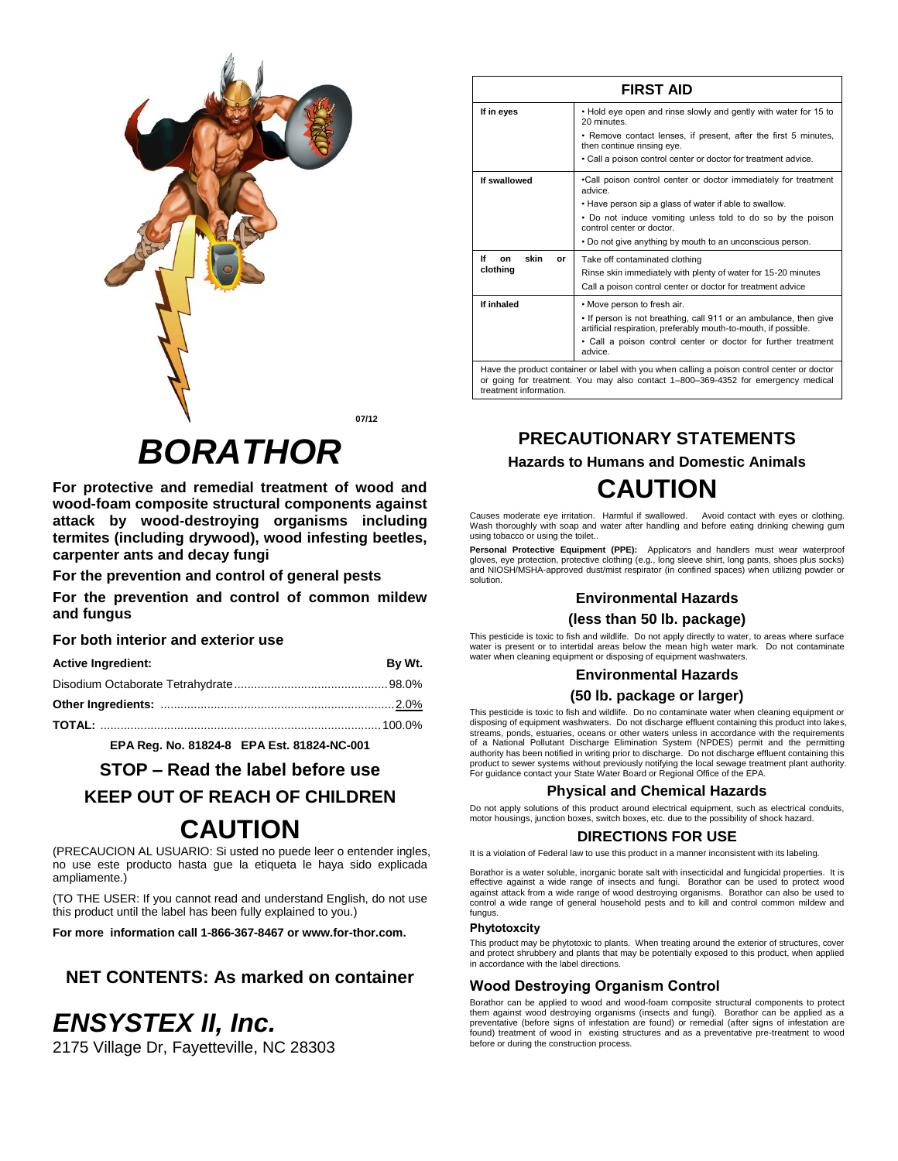

**07/12**

# *BORATHOR*

**For protective and remedial treatment of wood and wood-foam composite structural components against attack by wood-destroying organisms including termites (including drywood), wood infesting beetles, carpenter ants and decay fungi**

**For the prevention and control of general pests** 

**For the prevention and control of common mildew and fungus**

# **For both interior and exterior use**

| <b>Active Ingredient:</b> | By Wt. |
|---------------------------|--------|
|                           |        |
|                           |        |
|                           |        |

**EPA Reg. No. 81824-8 EPA Est. 81824-NC-001**

**STOP – Read the label before use**

**KEEP OUT OF REACH OF CHILDREN**

# **CAUTION**

(PRECAUCION AL USUARIO: Si usted no puede leer o entender ingles, no use este producto hasta gue la etiqueta le haya sido explicada ampliamente.)

(TO THE USER: If you cannot read and understand English, do not use this product until the label has been fully explained to you.)

**For more information call 1-866-367-8467 or www.for-thor.com.**

# **NET CONTENTS: As marked on container**

# *ENSYSTEX II, Inc.*

2175 Village Dr, Fayetteville, NC 28303

| <b>FIRST AID</b>       |                                                                                                                                                                                  |
|------------------------|----------------------------------------------------------------------------------------------------------------------------------------------------------------------------------|
| If in eyes             | . Hold eye open and rinse slowly and gently with water for 15 to<br>20 minutes.                                                                                                  |
|                        | • Remove contact lenses, if present, after the first 5 minutes,<br>then continue rinsing eye.                                                                                    |
|                        | . Call a poison control center or doctor for treatment advice.                                                                                                                   |
| If swallowed           | .Call poison control center or doctor immediately for treatment<br>advice.                                                                                                       |
|                        | . Have person sip a glass of water if able to swallow.                                                                                                                           |
|                        | • Do not induce vomiting unless told to do so by the poison<br>control center or doctor.                                                                                         |
|                        | • Do not give anything by mouth to an unconscious person.                                                                                                                        |
| If<br>skin<br>on<br>or | Take off contaminated clothing                                                                                                                                                   |
| clothing               | Rinse skin immediately with plenty of water for 15-20 minutes                                                                                                                    |
|                        | Call a poison control center or doctor for treatment advice                                                                                                                      |
| If inhaled             | • Move person to fresh air.                                                                                                                                                      |
|                        | • If person is not breathing, call 911 or an ambulance, then give<br>artificial respiration, preferably mouth-to-mouth, if possible.                                             |
|                        | • Call a poison control center or doctor for further treatment<br>advice.                                                                                                        |
| treatment information. | Have the product container or label with you when calling a poison control center or doctor<br>or going for treatment. You may also contact 1-800-369-4352 for emergency medical |

# **PRECAUTIONARY STATEMENTS Hazards to Humans and Domestic Animals CAUTION**

Causes moderate eye irritation. Harmful if swallowed. Avoid contact with eyes or clothing. Wash thoroughly with soap and water after handling and before eating drinking chewing gum using tobacco or using the toilet..

**Personal Protective Equipment (PPE):** Applicators and handlers must wear waterproof gloves, eye protection, protective clothing (e.g., long sleeve shirt, long pants, shoes plus socks) and NIOSH/MSHA-approved dust/mist respirator (in confined spaces) when utilizing powder or solution.

# **Environmental Hazards**

# **(less than 50 lb. package)**

This pesticide is toxic to fish and wildlife. Do not apply directly to water, to areas where surface water is present or to intertidal areas below the mean high water mark. Do not contaminate water when cleaning equipment or disposing of equipment washwaters.

#### **Environmental Hazards**

# **(50 lb. package or larger)**

This pesticide is toxic to fish and wildlife. Do no contaminate water when cleaning equipment or disposing of equipment washwaters. Do not discharge effluent containing this product into lakes, streams, ponds, estuaries, oceans or other waters unless in accordance with the requirements of a National Pollutant Discharge Elimination System (NPDES) permit and the permitting authority has been notified in writing prior to discharge. Do not discharge effluent containing this product to sewer systems without previously notifying the local sewage treatment plant authority. For guidance contact your State Water Board or Regional Office of the EPA.

# **Physical and Chemical Hazards**

Do not apply solutions of this product around electrical equipment, such as electrical conduits, motor housings, junction boxes, switch boxes, etc. due to the possibility of shock hazard.

# **DIRECTIONS FOR USE**

It is a violation of Federal law to use this product in a manner inconsistent with its labeling.

Borathor is a water soluble, inorganic borate salt with insecticidal and fungicidal properties. It is effective against a wide range of insects and fungi. Borathor can be used to protect wood against attack from a wide range of wood destroying organisms. Borathor can also be used to control a wide range of general household pests and to kill and control common mildew and fungus.

#### **Phytotoxcity**

This product may be phytotoxic to plants. When treating around the exterior of structures, cover and protect shrubbery and plants that may be potentially exposed to this product, when applied in accordance with the label directions.

# **Wood Destroying Organism Control**

Borathor can be applied to wood and wood-foam composite structural components to protect them against wood destroying organisms (insects and fungi). Borathor can be applied as a preventative (before signs of infestation are found) or remedial (after signs of infestation are found) treatment of wood in existing structures and as a preventative pre-treatment to wood before or during the construction process.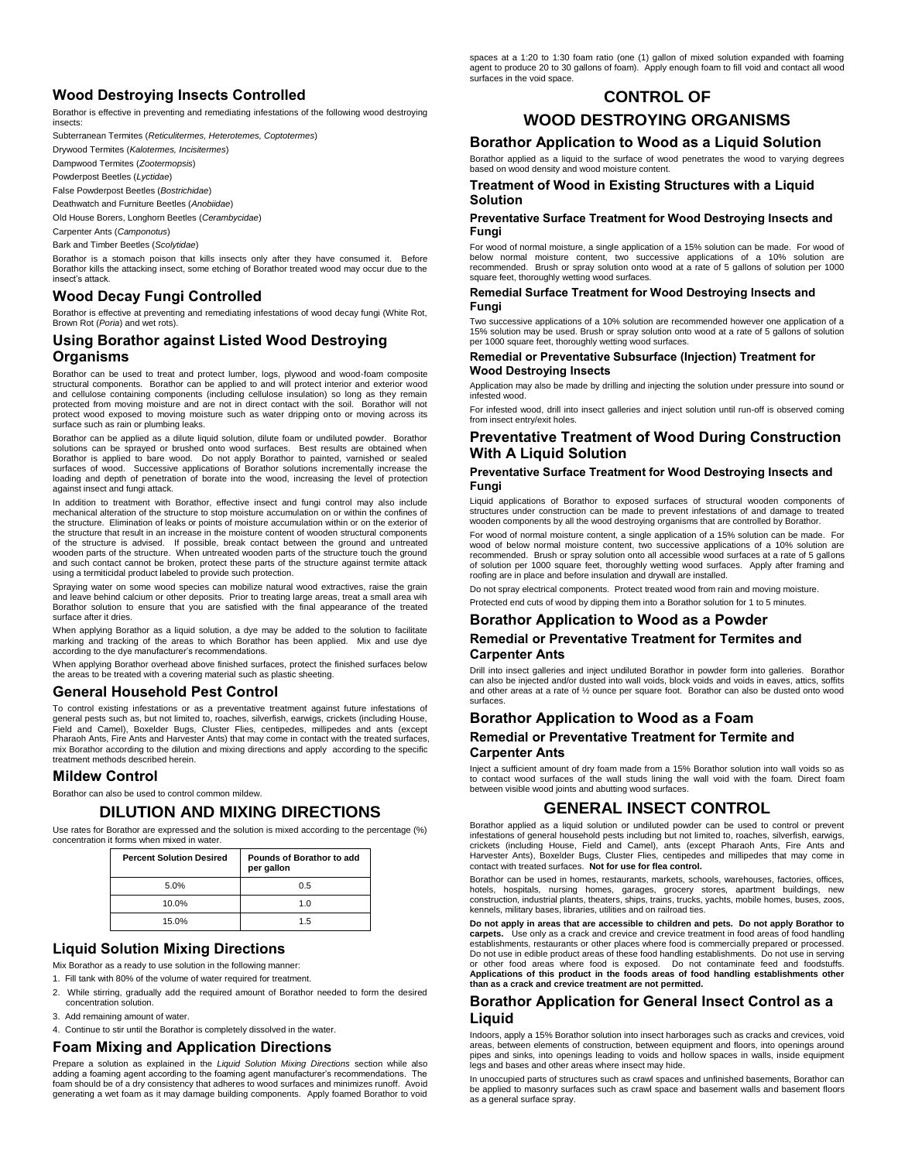# **Wood Destroying Insects Controlled**

Borathor is effective in preventing and remediating infestations of the following wood destroying insects:

Subterranean Termites (*Reticulitermes, Heterotemes, Coptotermes*)

Drywood Termites (*Kalotermes, Incisitermes*) Dampwood Termites (*Zootermopsis*)

Powderpost Beetles (*Lyctidae*)

False Powderpost Beetles (*Bostrichidae*)

Deathwatch and Furniture Beetles (*Anobiidae*)

Old House Borers, Longhorn Beetles (*Cerambycidae*)

Carpenter Ants (*Camponotus*)

Bark and Timber Beetles (*Scolytidae*)

Borathor is a stomach poison that kills insects only after they have consumed it. Before Borathor kills the attacking insect, some etching of Borathor treated wood may occur due to the insect's attack.

# **Wood Decay Fungi Controlled**

Borathor is effective at preventing and remediating infestations of wood decay fungi (White Rot, Brown Rot (*Poria*) and wet rots).

# **Using Borathor against Listed Wood Destroying Organisms**

Borathor can be used to treat and protect lumber, logs, plywood and wood-foam composite structural components. Borathor can be applied to and will protect interior and exterior wood and cellulose containing components (including cellulose insulation) so long as they remain protected from moving moisture and are not in direct contact with the soil. Borathor will not protect wood exposed to moving moisture such as water dripping onto or moving across its surface such as rain or plumbing leaks.

Borathor can be applied as a dilute liquid solution, dilute foam or undiluted powder. Borathor solutions can be sprayed or brushed onto wood surfaces. Best results are obtained when Borathor is applied to bare wood. Do not apply Borathor to painted, varnished or sealed surfaces of wood. Successive applications of Borathor solutions incrementally increase the loading and depth of penetration of borate into the wood, increasing the level of protection against insect and fungi attack.

In addition to treatment with Borathor, effective insect and fungi control may also include mechanical alteration of the structure to stop moisture accumulation on or within the confines of the structure. Elimination of leaks or points of moisture accumulation within or on the exterior of the structure that result in an increase in the moisture content of wooden structural components of the structure is advised. If possible, break contact between the ground and untreated wooden parts of the structure. When untreated wooden parts of the structure touch the ground and such contact cannot be broken, protect these parts of the structure against termite attack using a termiticidal product labeled to provide such protection.

Spraying water on some wood species can mobilize natural wood extractives, raise the grain and leave behind calcium or other deposits. Prior to treating large areas, treat a small area wih Borathor solution to ensure that you are satisfied with the final appearance of the treated surface after it dries.

When applying Borathor as a liquid solution, a dye may be added to the solution to facilitate marking and tracking of the areas to which Borathor has been applied. Mix and use dye according to the dye manufacturer's recommendations.

When applying Borathor overhead above finished surfaces, protect the finished surfaces below the areas to be treated with a covering material such as plastic sheeting.

#### **General Household Pest Control**

To control existing infestations or as a preventative treatment against future infestations of general pests such as, but not limited to, roaches, silverfish, earwigs, crickets (including House,<br>Field and Camel), Boxelder Bugs, Cluster Flies, centipedes, millipedes and ants (except<br>Pharaoh Ants, Fire Ants mix Borathor according to the dilution and mixing directions and apply according to the specific treatment methods described herein.

#### **Mildew Control**

Borathor can also be used to control common mildew.

# **DILUTION AND MIXING DIRECTIONS**

Use rates for Borathor are expressed and the solution is mixed according to the percentage (%) concentration it forms when mixed in water.

| <b>Percent Solution Desired</b> | Pounds of Borathor to add<br>per gallon |
|---------------------------------|-----------------------------------------|
| 5.0%                            | 0.5                                     |
| 10.0%                           | 1 በ                                     |
| 15.0%                           | 1.5                                     |

# **Liquid Solution Mixing Directions**

Mix Borathor as a ready to use solution in the following manner:

1. Fill tank with 80% of the volume of water required for treatment.

- 2. While stirring, gradually add the required amount of Borathor needed to form the desired concentration solution.
- 3. Add remaining amount of water.
- 4. Continue to stir until the Borathor is completely dissolved in the water.

#### **Foam Mixing and Application Directions**

Prepare a solution as explained in the *Liquid Solution Mixing Directions* section while also adding a foaming agent according to the foaming agent manufacturer's recommendations. The foam should be of a dry consistency that adheres to wood surfaces and minimizes runoff. Avoid generating a wet foam as it may damage building components. Apply foamed Borathor to void

spaces at a 1:20 to 1:30 foam ratio (one (1) gallon of mixed solution expanded with foaming agent to produce 20 to 30 gallons of foam). Apply enough foam to fill void and contact all wood surfaces in the void space.

# **CONTROL OF**

# **WOOD DESTROYING ORGANISMS**

**Borathor Application to Wood as a Liquid Solution**

Borathor applied as a liquid to the surface of wood penetrates the wood to varying degrees based on wood density and wood moisture content.

#### **Treatment of Wood in Existing Structures with a Liquid Solution**

#### **Preventative Surface Treatment for Wood Destroying Insects and Fungi**

For wood of normal moisture, a single application of a 15% solution can be made. For wood of below normal moisture content, two successive applications of a 10% solution are recommended. Brush or spray solution onto wood at a rate of 5 gallons of solution per 1000 square feet, thoroughly wetting wood surfaces.

#### **Remedial Surface Treatment for Wood Destroying Insects and Fungi**

Two successive applications of a 10% solution are recommended however one application of a 15% solution may be used. Brush or spray solution onto wood at a rate of 5 gallons of solution per 1000 square feet, thoroughly wetting wood surfaces.

#### **Remedial or Preventative Subsurface (Injection) Treatment for Wood Destroying Insects**

Application may also be made by drilling and injecting the solution under pressure into sound or infested wood.

For infested wood, drill into insect galleries and inject solution until run-off is observed coming from insect entry/exit holes.

#### **Preventative Treatment of Wood During Construction With A Liquid Solution**

#### **Preventative Surface Treatment for Wood Destroying Insects and Fungi**

Liquid applications of Borathor to exposed surfaces of structural wooden components of structures under construction can be made to prevent infestations of and damage to treated wooden components by all the wood destroying organisms that are controlled by Borathor.

For wood of normal moisture content, a single application of a 15% solution can be made. For wood of below normal moisture content, two successive applications of a 10% solution are recommended. Brush or spray solution onto all accessible wood surfaces at a rate of 5 gallons of solution per 1000 square feet, thoroughly wetting wood surfaces. Apply after framing and roofing are in place and before insulation and drywall are installed.

Do not spray electrical components. Protect treated wood from rain and moving moisture. Protected end cuts of wood by dipping them into a Borathor solution for 1 to 5 minutes.

# **Borathor Application to Wood as a Powder**

#### **Remedial or Preventative Treatment for Termites and Carpenter Ants**

Drill into insect galleries and inject undiluted Borathor in powder form into galleries. Borathor can also be injected and/or dusted into wall voids, block voids and voids in eaves, attics, soffits and other areas at a rate of ½ ounce per square foot. Borathor can also be dusted onto wood surfaces.

# **Borathor Application to Wood as a Foam Remedial or Preventative Treatment for Termite and Carpenter Ants**

Inject a sufficient amount of dry foam made from a 15% Borathor solution into wall voids so as to contact wood surfaces of the wall studs lining the wall void with the foam. Direct foam between visible wood joints and abutting wood surfaces.

# **GENERAL INSECT CONTROL**

Borathor applied as a liquid solution or undiluted powder can be used to control or prevent infestations of general household pests including but not limited to, roaches, silverfish, earwigs, crickets (including House, Field and Camel), ants (except Pharaoh Ants, Fire Ants and Harvester Ants), Boxelder Bugs, Cluster Flies, centipedes and millipedes that may come in contact with treated surfaces. **Not for use for flea control.**

Borathor can be used in homes, restaurants, markets, schools, warehouses, factories, offices, hotels, hospitals, nursing homes, garages, grocery stores, apartment buildings, new construction, industrial plants, theaters, ships, trains, trucks, yachts, mobile homes, buses, zoos, kennels, military bases, libraries, utilities and on railroad ties.

**Do not apply in areas that are accessible to children and pets. Do not apply Borathor to carpets.** Use only as a crack and crevice and crevice treatment in food areas of food handling establishments, restaurants or other places where food is commercially prepared or processed. Do not use in edible product areas of these food handling establishments. Do not use in serving or other food areas where food is exposed. Do not contaminate feed and foodstuffs. **Applications of this product in the foods areas of food handling establishments other than as a crack and crevice treatment are not permitted.**

# **Borathor Application for General Insect Control as a Liquid**

Indoors, apply a 15% Borathor solution into insect harborages such as cracks and crevices, void areas, between elements of construction, between equipment and floors, into openings around pipes and sinks, into openings leading to voids and hollow spaces in walls, inside equipment legs and bases and other areas where insect may hide.

In unoccupied parts of structures such as crawl spaces and unfinished basements, Borathor can be applied to masonry surfaces such as crawl space and basement walls and basement floors as a general surface spray.